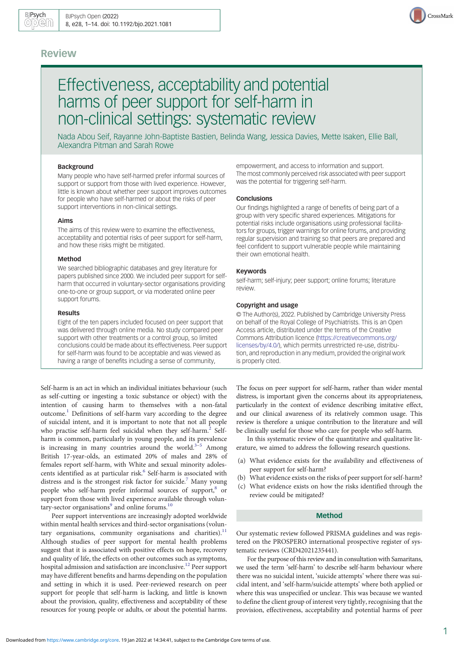## Review



# Effectiveness, acceptability and potential harms of peer support for self-harm in non-clinical settings: systematic review

Nada Abou Seif, Rayanne John-Baptiste Bastien, Belinda Wang, Jessica Davies, Mette Isaken, Ellie Ball, Alexandra Pitman and Sarah Rowe

## Background

Many people who have self-harmed prefer informal sources of support or support from those with lived experience. However, little is known about whether peer support improves outcomes for people who have self-harmed or about the risks of peer support interventions in non-clinical settings.

#### Aims

The aims of this review were to examine the effectiveness, acceptability and potential risks of peer support for self-harm, and how these risks might be mitigated.

### Method

We searched bibliographic databases and grey literature for papers published since 2000. We included peer support for selfharm that occurred in voluntary-sector organisations providing one-to-one or group support, or via moderated online peer support forums.

#### Results

Eight of the ten papers included focused on peer support that was delivered through online media. No study compared peer support with other treatments or a control group, so limited conclusions could be made about its effectiveness. Peer support for self-harm was found to be acceptable and was viewed as having a range of benefits including a sense of community,

Self-harm is an act in which an individual initiates behaviour (such as self-cutting or ingesting a toxic substance or object) with the intention of causing harm to themselves with a non-fatal outcome.[1](#page-12-0) Definitions of self-harm vary according to the degree of suicidal intent, and it is important to note that not all people who practise self-harm feel suicidal when they self-harm.<sup>[2](#page-12-0)</sup> Selfharm is common, particularly in young people, and its prevalence is increasing in many countries around the world.<sup>[3](#page-12-0)-[5](#page-12-0)</sup> Among British 17-year-olds, an estimated 20% of males and 28% of females report self-harm, with White and sexual minority adolescents identified as at particular risk.<sup>6</sup> Self-harm is associated with distress and is the strongest risk factor for suicide.<sup>7</sup> Many young people who self-harm prefer informal sources of support,<sup>8</sup> or support from those with lived experience available through volun-tary-sector organisations<sup>9</sup> and online forums.<sup>[10](#page-12-0)</sup>

Peer support interventions are increasingly adopted worldwide within mental health services and third-sector organisations (volun-tary organisations, community organisations and charities).<sup>[11](#page-12-0)</sup> Although studies of peer support for mental health problems suggest that it is associated with positive effects on hope, recovery and quality of life, the effects on other outcomes such as symptoms, hospital admission and satisfaction are inconclusive.<sup>12</sup> Peer support may have different benefits and harms depending on the population and setting in which it is used. Peer-reviewed research on peer support for people that self-harm is lacking, and little is known about the provision, quality, effectiveness and acceptability of these resources for young people or adults, or about the potential harms.

empowerment, and access to information and support. The most commonly perceived risk associated with peer support was the potential for triggering self-harm.

## **Conclusions**

Our findings highlighted a range of benefits of being part of a group with very specific shared experiences. Mitigations for potential risks include organisations using professional facilitators for groups, trigger warnings for online forums, and providing regular supervision and training so that peers are prepared and feel confident to support vulnerable people while maintaining their own emotional health.

#### Keywords

self-harm; self-injury; peer support; online forums; literature review.

## Copyright and usage

© The Author(s), 2022. Published by Cambridge University Press on behalf of the Royal College of Psychiatrists. This is an Open Access article, distributed under the terms of the Creative Commons Attribution licence [\(https://creativecommons.org/](https://creativecommons.org/licenses/by/4.0/) [licenses/by/4.0/](https://creativecommons.org/licenses/by/4.0/)), which permits unrestricted re-use, distribution, and reproduction in any medium, provided the original work is properly cited.

The focus on peer support for self-harm, rather than wider mental distress, is important given the concerns about its appropriateness, particularly in the context of evidence describing imitative effect, and our clinical awareness of its relatively common usage. This review is therefore a unique contribution to the literature and will be clinically useful for those who care for people who self-harm.

In this systematic review of the quantitative and qualitative literature, we aimed to address the following research questions.

- (a) What evidence exists for the availability and effectiveness of peer support for self-harm?
- (b) What evidence exists on the risks of peer support for self-harm?
- (c) What evidence exists on how the risks identified through the review could be mitigated?

#### Method

Our systematic review followed PRISMA guidelines and was registered on the PROSPERO international prospective register of systematic reviews (CRD42021235441).

For the purpose of this review and in consultation with Samaritans, we used the term 'self-harm' to describe self-harm behaviour where there was no suicidal intent, 'suicide attempts' where there was suicidal intent, and 'self-harm/suicide attempts' where both applied or where this was unspecified or unclear. This was because we wanted to define the client group of interest very tightly, recognising that the provision, effectiveness, acceptability and potential harms of peer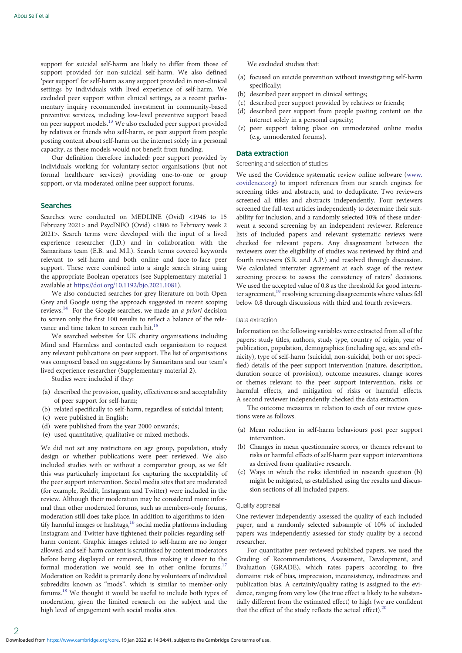support for suicidal self-harm are likely to differ from those of support provided for non-suicidal self-harm. We also defined 'peer support' for self-harm as any support provided in non-clinical settings by individuals with lived experience of self-harm. We excluded peer support within clinical settings, as a recent parliamentary inquiry recommended investment in community-based preventive services, including low-level preventive support based on peer support models.<sup>[13](#page-12-0)</sup> We also excluded peer support provided by relatives or friends who self-harm, or peer support from people posting content about self-harm on the internet solely in a personal capacity, as these models would not benefit from funding.

Our definition therefore included: peer support provided by individuals working for voluntary-sector organisations (but not formal healthcare services) providing one-to-one or group support, or via moderated online peer support forums.

## Searches

Searches were conducted on MEDLINE (Ovid) <1946 to 15 February 2021> and PsycINFO (Ovid) <1806 to February week 2 2021>. Search terms were developed with the input of a lived experience researcher (J.D.) and in collaboration with the Samaritans team (E.B. and M.I.). Search terms covered keywords relevant to self-harm and both online and face-to-face peer support. These were combined into a single search string using the appropriate Boolean operators (see Supplementary material 1 available at [https://doi.org/10.1192/bjo.2021.1081\)](https://doi.org/10.1192/bjo.2021.1081).

We also conducted searches for grey literature on both Open Grey and Google using the approach suggested in recent scoping reviews.<sup>[14](#page-12-0)</sup> For the Google searches, we made an *a priori* decision to screen only the first 100 results to reflect a balance of the relevance and time taken to screen each hit.<sup>11</sup>

We searched websites for UK charity organisations including Mind and Harmless and contacted each organisation to request any relevant publications on peer support. The list of organisations was composed based on suggestions by Samaritans and our team's lived experience researcher (Supplementary material 2).

Studies were included if they:

- (a) described the provision, quality, effectiveness and acceptability of peer support for self-harm;
- (b) related specifically to self-harm, regardless of suicidal intent;
- (c) were published in English;
- (d) were published from the year 2000 onwards;
- (e) used quantitative, qualitative or mixed methods.

We did not set any restrictions on age group, population, study design or whether publications were peer reviewed. We also included studies with or without a comparator group, as we felt this was particularly important for capturing the acceptability of the peer support intervention. Social media sites that are moderated (for example, Reddit, Instagram and Twitter) were included in the review. Although their moderation may be considered more informal than other moderated forums, such as members-only forums, moderation still does take place. In addition to algorithms to identify harmful images or hashtags, $16$  social media platforms including Instagram and Twitter have tightened their policies regarding selfharm content. Graphic images related to self-harm are no longer allowed, and self-harm content is scrutinised by content moderators before being displayed or removed, thus making it closer to the formal moderation we would see in other online forums.<sup>17</sup> Moderation on Reddit is primarily done by volunteers of individual subreddits known as "mods", which is similar to member-only forums[.18](#page-12-0) We thought it would be useful to include both types of moderation, given the limited research on the subject and the high level of engagement with social media sites.

We excluded studies that:

- (a) focused on suicide prevention without investigating self-harm specifically;
- (b) described peer support in clinical settings;
- (c) described peer support provided by relatives or friends;
- (d) described peer support from people posting content on the internet solely in a personal capacity;
- (e) peer support taking place on unmoderated online media (e.g. unmoderated forums).

#### Data extraction

#### Screening and selection of studies

We used the Covidence systematic review online software [\(www.](https://www.covidence.org) [covidence.org\)](https://www.covidence.org) to import references from our search engines for screening titles and abstracts, and to deduplicate. Two reviewers screened all titles and abstracts independently. Four reviewers screened the full-text articles independently to determine their suitability for inclusion, and a randomly selected 10% of these underwent a second screening by an independent reviewer. Reference lists of included papers and relevant systematic reviews were checked for relevant papers. Any disagreement between the reviewers over the eligibility of studies was reviewed by third and fourth reviewers (S.R. and A.P.) and resolved through discussion. We calculated interrater agreement at each stage of the review screening process to assess the consistency of raters' decisions. We used the accepted value of 0.8 as the threshold for good interrater agreement,<sup>19</sup> resolving screening disagreements where values fell below 0.8 through discussions with third and fourth reviewers.

## Data extraction

Information on the following variables were extracted from all of the papers: study titles, authors, study type, country of origin, year of publication, population, demographics (including age, sex and ethnicity), type of self-harm (suicidal, non-suicidal, both or not specified) details of the peer support intervention (nature, description, duration source of provision), outcome measures, change scores or themes relevant to the peer support intervention, risks or harmful effects, and mitigation of risks or harmful effects. A second reviewer independently checked the data extraction.

The outcome measures in relation to each of our review questions were as follows.

- (a) Mean reduction in self-harm behaviours post peer support intervention.
- (b) Changes in mean questionnaire scores, or themes relevant to risks or harmful effects of self-harm peer support interventions as derived from qualitative research.
- (c) Ways in which the risks identified in research question (b) might be mitigated, as established using the results and discussion sections of all included papers.

#### Quality appraisal

One reviewer independently assessed the quality of each included paper, and a randomly selected subsample of 10% of included papers was independently assessed for study quality by a second researcher.

For quantitative peer-reviewed published papers, we used the Grading of Recommendations, Assessment, Development, and Evaluation (GRADE), which rates papers according to five domains: risk of bias, imprecision, inconsistency, indirectness and publication bias. A certainty/quality rating is assigned to the evidence, ranging from very low (the true effect is likely to be substantially different from the estimated effect) to high (we are confident that the effect of the study reflects the actual effect). $20$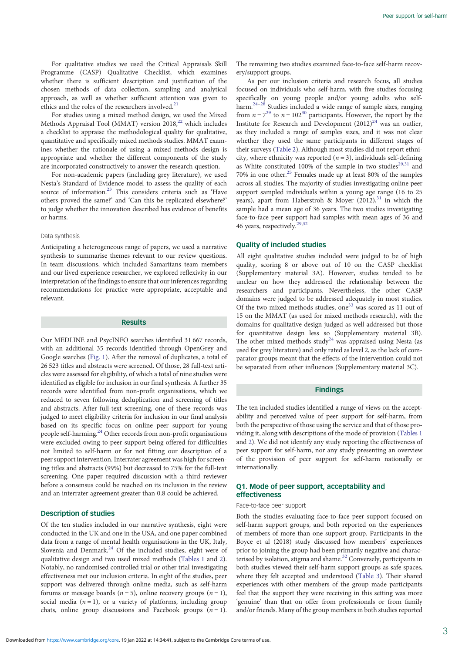For qualitative studies we used the Critical Appraisals Skill Programme (CASP) Qualitative Checklist, which examines whether there is sufficient description and justification of the chosen methods of data collection, sampling and analytical approach, as well as whether sufficient attention was given to ethics and the roles of the researchers involved.<sup>[21](#page-12-0)</sup>

For studies using a mixed method design, we used the Mixed Methods Appraisal Tool (MMAT) version  $2018$ <sup>[22](#page-12-0)</sup> which includes a checklist to appraise the methodological quality for qualitative, quantitative and specifically mixed methods studies. MMAT examines whether the rationale of using a mixed methods design is appropriate and whether the different components of the study are incorporated constructively to answer the research question.

For non-academic papers (including grey literature), we used Nesta's Standard of Evidence model to assess the quality of each source of information.<sup>[23](#page-12-0)</sup> This considers criteria such as 'Have others proved the same?' and 'Can this be replicated elsewhere?' to judge whether the innovation described has evidence of benefits or harms.

## Data synthesis

Anticipating a heterogeneous range of papers, we used a narrative synthesis to summarise themes relevant to our review questions. In team discussions, which included Samaritans team members and our lived experience researcher, we explored reflexivity in our interpretation of the findings to ensure that our inferences regarding recommendations for practice were appropriate, acceptable and relevant.

#### Results

Our MEDLINE and PsycINFO searches identified 31 667 records, with an additional 35 records identified through OpenGrey and Google searches ([Fig. 1\)](#page-3-0). After the removal of duplicates, a total of 26 523 titles and abstracts were screened. Of those, 28 full-text articles were assessed for eligibility, of which a total of nine studies were identified as eligible for inclusion in our final synthesis. A further 35 records were identified from non-profit organisations, which we reduced to seven following deduplication and screening of titles and abstracts. After full-text screening, one of these records was judged to meet eligibility criteria for inclusion in our final analysis based on its specific focus on online peer support for young people self-harming.[24](#page-12-0) Other records from non-profit organisations were excluded owing to peer support being offered for difficulties not limited to self-harm or for not fitting our description of a peer support intervention. Interrater agreement was high for screening titles and abstracts (99%) but decreased to 75% for the full-text screening. One paper required discussion with a third reviewer before a consensus could be reached on its inclusion in the review and an interrater agreement greater than 0.8 could be achieved.

## Description of studies

Of the ten studies included in our narrative synthesis, eight were conducted in the UK and one in the USA, and one paper combined data from a range of mental health organisations in the UK, Italy, Slovenia and Denmark. $24$  Of the included studies, eight were of qualitative design and two used mixed methods [\(Tables 1](#page-4-0) and [2](#page-7-0)). Notably, no randomised controlled trial or other trial investigating effectiveness met our inclusion criteria. In eight of the studies, peer support was delivered through online media, such as self-harm forums or message boards ( $n = 5$ ), online recovery groups ( $n = 1$ ), social media  $(n = 1)$ , or a variety of platforms, including group chats, online group discussions and Facebook groups  $(n = 1)$ .

The remaining two studies examined face-to-face self-harm recovery/support groups.

As per our inclusion criteria and research focus, all studies focused on individuals who self-harm, with five studies focusing specifically on young people and/or young adults who selfharm.[24](#page-12-0)–[28](#page-13-0) Studies included a wide range of sample sizes, ranging from  $n = 7^{29}$  $n = 7^{29}$  $n = 7^{29}$  to  $n = 102^{30}$  $n = 102^{30}$  $n = 102^{30}$  participants. However, the report by the Institute for Research and Development  $(2012)^{24}$  $(2012)^{24}$  $(2012)^{24}$  was an outlier, as they included a range of samples sizes, and it was not clear whether they used the same participants in different stages of their surveys ([Table 2](#page-7-0)). Although most studies did not report ethnicity, where ethnicity was reported  $(n = 3)$ , individuals self-defining as White constituted 100% of the sample in two studies<sup>29,31</sup> and 70% in one other.[25](#page-12-0) Females made up at least 80% of the samples across all studies. The majority of studies investigating online peer support sampled individuals within a young age range (16 to 25 years), apart from Haberstroh & Moyer  $(2012),<sup>31</sup>$  $(2012),<sup>31</sup>$  $(2012),<sup>31</sup>$  in which the sample had a mean age of 36 years. The two studies investigating face-to-face peer support had samples with mean ages of 36 and 46 years, respectively.<sup>[29,32](#page-13-0)</sup>

#### Quality of included studies

All eight qualitative studies included were judged to be of high quality, scoring 8 or above out of 10 on the CASP checklist (Supplementary material 3A). However, studies tended to be unclear on how they addressed the relationship between the researchers and participants. Nevertheless, the other CASP domains were judged to be addressed adequately in most studies. Of the two mixed methods studies, one<sup>33</sup> was scored as 11 out of 15 on the MMAT (as used for mixed methods research), with the domains for qualitative design judged as well addressed but those for quantitative design less so (Supplementary material 3B). The other mixed methods study<sup>[24](#page-12-0)</sup> was appraised using Nesta (as used for grey literature) and only rated as level 2, as the lack of comparator groups meant that the effects of the intervention could not be separated from other influences (Supplementary material 3C).

## Findings

The ten included studies identified a range of views on the acceptability and perceived value of peer support for self-harm, from both the perspective of those using the service and that of those providing it, along with descriptions of the mode of provision [\(Tables 1](#page-4-0) and [2\)](#page-7-0). We did not identify any study reporting the effectiveness of peer support for self-harm, nor any study presenting an overview of the provision of peer support for self-harm nationally or internationally.

## Q1. Mode of peer support, acceptability and effectiveness

## Face-to-face peer support

Both the studies evaluating face-to-face peer support focused on self-harm support groups, and both reported on the experiences of members of more than one support group. Participants in the Boyce et al (2018) study discussed how members' experiences prior to joining the group had been primarily negative and characterised by isolation, stigma and shame. $32$  Conversely, participants in both studies viewed their self-harm support groups as safe spaces, where they felt accepted and understood ([Table 3](#page-9-0)). Their shared experiences with other members of the group made participants feel that the support they were receiving in this setting was more 'genuine' than that on offer from professionals or from family and/or friends. Many of the group members in both studies reported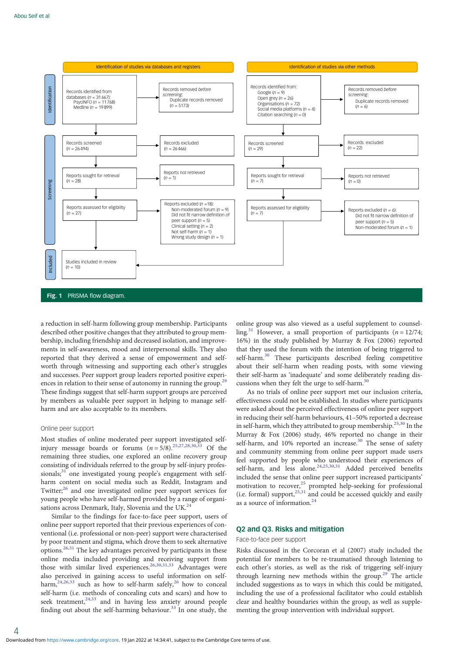<span id="page-3-0"></span>

a reduction in self-harm following group membership. Participants described other positive changes that they attributed to group membership, including friendship and decreased isolation, and improvements in self-awareness, mood and interpersonal skills. They also reported that they derived a sense of empowerment and selfworth through witnessing and supporting each other's struggles and successes. Peer support group leaders reported positive experi-ences in relation to their sense of autonomy in running the group.<sup>[29](#page-13-0)</sup> These findings suggest that self-harm support groups are perceived by members as valuable peer support in helping to manage selfharm and are also acceptable to its members.

## Online peer support

Most studies of online moderated peer support investigated selfinjury message boards or forums  $(n = 5/8)^{25,27,28,30,33}$  $(n = 5/8)^{25,27,28,30,33}$  $(n = 5/8)^{25,27,28,30,33}$  $(n = 5/8)^{25,27,28,30,33}$  Of the remaining three studies, one explored an online recovery group consisting of individuals referred to the group by self-injury profes-sionals;<sup>[31](#page-13-0)</sup> one investigated young people's engagement with selfharm content on social media such as Reddit, Instagram and Twitter;<sup>[26](#page-12-0)</sup> and one investigated online peer support services for young people who have self-harmed provided by a range of organisations across Denmark, Italy, Slovenia and the UK. $^{24}$ 

Similar to the findings for face-to-face peer support, users of online peer support reported that their previous experiences of conventional (i.e. professional or non-peer) support were characterised by poor treatment and stigma, which drove them to seek alternative  $\frac{1}{2}$  options.<sup>[26](#page-12-0)[,31](#page-13-0)</sup> The key advantages perceived by participants in these online media included providing and receiving support from those with similar lived experiences.<sup>[26](#page-12-0)[,30,31,33](#page-13-0)</sup> Advantages were also perceived in gaining access to useful information on selfharm,  $24,26,33$  $24,26,33$  $24,26,33$  $24,26,33$  $24,26,33$  such as how to self-harm safely,  $26$  how to conceal self-harm (i.e. methods of concealing cuts and scars) and how to seek treatment, $24,33$  $24,33$  $24,33$  and in having less anxiety around people finding out about the self-harming behaviour.<sup>[33](#page-13-0)</sup> In one study, the

online group was also viewed as a useful supplement to counselling.<sup>31</sup> However, a small proportion of participants ( $n = 12/74$ ; 16%) in the study published by Murray & Fox (2006) reported that they used the forum with the intention of being triggered to self-harm.<sup>[30](#page-13-0)</sup> These participants described feeling competitive about their self-harm when reading posts, with some viewing their self-harm as 'inadequate' and some deliberately reading discussions when they felt the urge to self-harm. $30$ 

As no trials of online peer support met our inclusion criteria, effectiveness could not be established. In studies where participants were asked about the perceived effectiveness of online peer support in reducing their self-harm behaviours, 41–50% reported a decrease in self-harm, which they attributed to group membership.[25](#page-12-0),[30](#page-13-0) In the Murray & Fox (2006) study, 46% reported no change in their self-harm, and 10% reported an increase.<sup>[30](#page-13-0)</sup> The sense of safety and community stemming from online peer support made users feel supported by people who understood their experiences of self-harm, and less alone.<sup>24,25,[30,31](#page-13-0)</sup> Added perceived benefits included the sense that online peer support increased participants' motivation to recover,<sup>[25](#page-12-0)</sup> prompted help-seeking for professional  $(i.e.$  formal) support, $25,31$  $25,31$  $25,31$  and could be accessed quickly and easily as a source of information.[24](#page-12-0)

## Q2 and Q3. Risks and mitigation

### Face-to-face peer support

Risks discussed in the Corcoran et al (2007) study included the potential for members to be re-traumatised through listening to each other's stories, as well as the risk of triggering self-injury through learning new methods within the group.<sup>[29](#page-13-0)</sup> The article included suggestions as to ways in which this could be mitigated, including the use of a professional facilitator who could establish clear and healthy boundaries within the group, as well as supplementing the group intervention with individual support.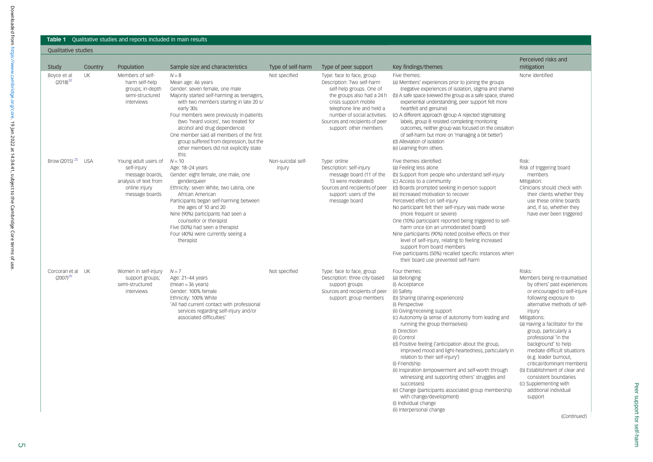#### **Table 1** Qualitative studies and reports included in main results

## Qualitative studies

| Study                           | Country    | Population                                                                                                                  | Sample size and characteristics                                                                                                                                                                                                                                                                                                                                                                                                     | Type of self-harm            | Type of peer support                                                                                                                                                                                                                                                | Key findings/themes                                                                                                                                                                                                                                                                                                                                                                                                                                                                                                                                                                                                                                                                                                     | Perceived risks and<br>mitigation                                                                                                                                                                                                                                                                                                                                                                                                                                                                                    |
|---------------------------------|------------|-----------------------------------------------------------------------------------------------------------------------------|-------------------------------------------------------------------------------------------------------------------------------------------------------------------------------------------------------------------------------------------------------------------------------------------------------------------------------------------------------------------------------------------------------------------------------------|------------------------------|---------------------------------------------------------------------------------------------------------------------------------------------------------------------------------------------------------------------------------------------------------------------|-------------------------------------------------------------------------------------------------------------------------------------------------------------------------------------------------------------------------------------------------------------------------------------------------------------------------------------------------------------------------------------------------------------------------------------------------------------------------------------------------------------------------------------------------------------------------------------------------------------------------------------------------------------------------------------------------------------------------|----------------------------------------------------------------------------------------------------------------------------------------------------------------------------------------------------------------------------------------------------------------------------------------------------------------------------------------------------------------------------------------------------------------------------------------------------------------------------------------------------------------------|
| Boyce et al<br>$(2018)^{32}$    | <b>UK</b>  | Members of self-<br>harm self-help<br>groups; in-depth<br>semi-structured<br>interviews                                     | $N = 8$<br>Mean age: 46 years<br>Gender: seven female, one male<br>Majority started self-harming as teenagers,<br>with two members starting in late 20 s/<br>early 30s<br>Four members were previously in-patients<br>(two 'heard voices', two treated for<br>alcohol and drug dependence)<br>One member said all members of the first<br>group suffered from depression, but the<br>other members did not explicitly state<br>this | Not specified                | Type: face to face, group<br>Description: Two self-harm<br>self-help groups. One of<br>the groups also had a 24 h<br>crisis support mobile<br>telephone line and held a<br>number of social activities.<br>Sources and recipients of peer<br>support: other members | Five themes:<br>(a) Members' experiences prior to joining the groups<br>(negative experiences of isolation, stigma and shame)<br>(b) A safe space (viewed the group as a safe space, shared<br>experiential understanding, peer support felt more<br>heartfelt and genuine)<br>(c) A different approach (group A rejected stigmatising<br>labels, group B resisted completing monitoring<br>outcomes, neither group was focused on the cessation<br>of self-harm but more on 'managing a bit better')<br>(d) Alleviation of isolation<br>(e) Learning from others                                                                                                                                                       | None identified                                                                                                                                                                                                                                                                                                                                                                                                                                                                                                      |
| Brow (2015) <sup>25</sup>       | <b>USA</b> | Young adult users of $N = 10$<br>self-injury<br>message boards,<br>analysis of text from<br>online injury<br>message boards | Age: 18-24 years<br>Gender: eight female, one male, one<br>genderqueer<br>Ethnicity: seven White, two Latina, one<br>African American<br>Participants began self-harming between<br>the ages of 10 and 20<br>Nine (90%) participants had seen a<br>counsellor or therapist<br>Five (50%) had seen a therapist<br>Four (40%) were currently seeing a<br>therapist                                                                    | Non-suicidal self-<br>injury | Type: online<br>Description: self-injury<br>message board (11 of the<br>13 were moderated)<br>Sources and recipients of peer<br>support: users of the<br>message board                                                                                              | Five themes identified:<br>(a) Feeling less alone<br>(b) Support from people who understand self-injury<br>(c) Access to a community<br>(d) Boards prompted seeking in-person support<br>(e) Increased motivation to recover<br>Perceived effect on self-injury<br>No participant felt their self-injury was made worse<br>(more frequent or severe)<br>One (10%) participant reported being triggered to self-<br>harm once (on an unmoderated board)<br>Nine participants (90%) noted positive effects on their<br>level of self-injury, relating to feeling increased<br>support from board members<br>Five participants (50%) recalled specific instances when<br>their board use prevented self-harm               | Risk:<br>Risk of triggering board<br>members<br>Mitigation:<br>Clinicians should check with<br>their clients whether they<br>use these online boards<br>and, if so, whether they<br>have ever been triggered                                                                                                                                                                                                                                                                                                         |
| Corcoran et al<br>$(2007)^{29}$ | l JK       | Women in self-injury<br>support groups;<br>semi-structured<br>interviews                                                    | $N=7$<br>Age: 21-44 years<br>$(mean = 36 \text{ years})$<br>Gender: 100% female<br>Ethnicity: 100% White<br>'All had current contact with professional<br>services regarding self-injury and/or<br>associated difficulties'                                                                                                                                                                                                         | Not specified                | Type: face to face, group<br>Description: three city-based<br>support groups<br>Sources and recipients of peer<br>support: group members                                                                                                                            | Four themes:<br>(a) Belonging<br>(i) Acceptance<br>(ii) Safety<br>(b) Sharing (sharing experiences)<br>(i) Perspective<br>(ii) Giving/receiving support<br>(c) Autonomy (a sense of autonomy from leading and<br>running the group themselves)<br>(i) Direction<br>(ii) Control<br>(d) Positive feeling ('anticipation about the group,<br>improved mood and light-heartedness, particularly in<br>relation to their self-injury')<br>(i) Friendship<br>(ii) Inspiration (empowerment and self-worth through<br>witnessing and supporting others' struggles and<br>successes)<br>(e) Change (participants associated group membership<br>with change/development)<br>(i) Individual change<br>(ii) Interpersonal change | Risks:<br>Members being re-traumatised<br>by others' past experiences<br>or encouraged to self-injure<br>following exposure to<br>alternative methods of self-<br>injury<br>Mitigations:<br>(a) Having a facilitator for the<br>group, particularly a<br>professional 'in the<br>background' to help<br>mediate difficult situations<br>(e.g. leader burnout,<br>critical/dominant members)<br>(b) Establishment of clear and<br>consistent boundaries<br>(c) Supplementing with<br>additional individual<br>support |

(Continued)

<span id="page-4-0"></span>Downloaded from https://www.cambridge.org/core. 19 Jan 2022 at 14:34:41, subject to the Cambridge Core terms of use Downloaded from<https://www.cambridge.org/core>. 19 Jan 2022 at 14:34:41, subject to the Cambridge Core terms of use.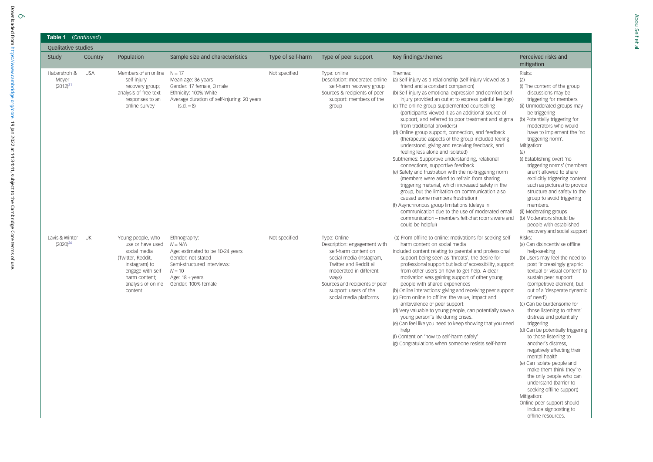#### Table 1 (Continued)

| <b>Qualitative studies</b>             |            |                                                                                                                                                                    |                                                                                                                                                                                  |                   |                                                                                                                                                                                                                                                    |                                                                                                                                                                                                                                                                                                                                                                                                                                                                                                                                                                                                                                                                                                                                                                                                                                                                                                                                                                                                                                                                                                                                                            |                                                                                                                                                                                                                                                                                                                                                                                                                                                                                                                                                                                                                                 |
|----------------------------------------|------------|--------------------------------------------------------------------------------------------------------------------------------------------------------------------|----------------------------------------------------------------------------------------------------------------------------------------------------------------------------------|-------------------|----------------------------------------------------------------------------------------------------------------------------------------------------------------------------------------------------------------------------------------------------|------------------------------------------------------------------------------------------------------------------------------------------------------------------------------------------------------------------------------------------------------------------------------------------------------------------------------------------------------------------------------------------------------------------------------------------------------------------------------------------------------------------------------------------------------------------------------------------------------------------------------------------------------------------------------------------------------------------------------------------------------------------------------------------------------------------------------------------------------------------------------------------------------------------------------------------------------------------------------------------------------------------------------------------------------------------------------------------------------------------------------------------------------------|---------------------------------------------------------------------------------------------------------------------------------------------------------------------------------------------------------------------------------------------------------------------------------------------------------------------------------------------------------------------------------------------------------------------------------------------------------------------------------------------------------------------------------------------------------------------------------------------------------------------------------|
| Study                                  | Country    | Population                                                                                                                                                         | Sample size and characteristics                                                                                                                                                  | Type of self-harm | Type of peer support                                                                                                                                                                                                                               | Key findings/themes                                                                                                                                                                                                                                                                                                                                                                                                                                                                                                                                                                                                                                                                                                                                                                                                                                                                                                                                                                                                                                                                                                                                        | Perceived risks and<br>mitigation                                                                                                                                                                                                                                                                                                                                                                                                                                                                                                                                                                                               |
| Haberstroh &<br>Moyer<br>$(2012)^{31}$ | <b>USA</b> | Members of an online $N = 17$<br>self-injury<br>recovery group;<br>analysis of free text<br>responses to an<br>online survey                                       | Mean age: 36 years<br>Gender: 17 female, 3 male<br>Ethnicity: 100% White<br>Average duration of self-injuring: 20 years<br>$(S.d. = 8)$                                          | Not specified     | Type: online<br>Description: moderated online<br>self-harm recovery group<br>Sources & recipients of peer<br>support: members of the<br>group                                                                                                      | Themes:<br>(a) Self-injury as a relationship (self-injury viewed as a<br>friend and a constant companion)<br>(b) Self-injury as emotional expression and comfort (self-<br>injury provided an outlet to express painful feelings)<br>(c) The online group supplemented counselling<br>(participants viewed it as an additional source of<br>support, and referred to poor treatment and stigma<br>from traditional providers)<br>(d) Online group support, connection, and feedback<br>(therapeutic aspects of the group included feeling)<br>understood, giving and receiving feedback, and<br>feeling less alone and isolated)<br>Subthemes: Supportive understanding, relational<br>connections, supportive feedback<br>(e) Safety and frustration with the no-triggering norm<br>(members were asked to refrain from sharing<br>triggering material, which increased safety in the<br>group, but the limitation on communication also<br>caused some members frustration)<br>(f) Asynchronous group limitations (delays in<br>communication due to the use of moderated email<br>communication - members felt chat rooms were and<br>could be helpful) | Risks:<br>(a)<br>(i) The content of the group<br>discussions may be<br>triggering for members<br>(ii) Unmoderated groups may<br>be triggering<br>(b) Potentially triggering for<br>moderators who would<br>have to implement the 'no<br>triggering norm'.<br>Mitigation:<br>(a)<br>(i) Establishing overt 'no<br>triggering norms' (members<br>aren't allowed to share<br>explicitly triggering content<br>such as pictures) to provide<br>structure and safety to the<br>group to avoid triggering<br>members.<br>(ii) Moderating groups<br>(b) Moderators should be<br>people with established<br>recovery and social support |
| Lavis & Winter<br>$(2020)^{26}$        | <b>UK</b>  | Young people, who<br>use or have used<br>social media<br>(Twitter, Reddit,<br>Instagram) to<br>engage with self-<br>harm content;<br>analysis of online<br>content | Ethnography:<br>$N = N/A$<br>Age: estimated to be 10-24 years<br>Gender: not stated<br>Semi-structured interviews:<br>$N = 10$<br>Age: $18 + \gamma$ ears<br>Gender: 100% female | Not specified     | Type: Online<br>Description: engagement with<br>self-harm content on<br>social media (Instagram,<br>Twitter and Reddit all<br>moderated in different<br>ways)<br>Sources and recipients of peer<br>support: users of the<br>social media platforms | (a) From offline to online: motivations for seeking self-<br>harm content on social media<br>Included content relating to parental and professional<br>support being seen as 'threats', the desire for<br>professional support but lack of accessibility, support<br>from other users on how to get help. A clear<br>motivation was gaining support of other young<br>people with shared experiences<br>(b) Online interactions: giving and receiving peer support<br>(c) From online to offline: the value, impact and<br>ambivalence of peer support<br>(d) Very valuable to young people, can potentially save a<br>young person's life during crises.<br>(e) Can feel like you need to keep showing that you need<br>help<br>(f) Content on 'how to self-harm safely'<br>(g) Congratulations when someone resists self-harm                                                                                                                                                                                                                                                                                                                            | Risks:<br>(a) Can disincentivise offline<br>help-seeking<br>(b) Users may feel the need to<br>post 'increasingly graphic<br>textual or visual content' to<br>sustain peer support<br>(competitive element, but)<br>out of a 'desperate dynamic<br>of need')<br>(c) Can be burdensome for<br>those listening to others'<br>distress and potentially<br>triggering<br>(d) Can be potentially triggering<br>to those listening to<br>another's distress,<br>negatively affecting their<br>mental health<br>(e) Can isolate people and<br>make them think they're<br>the only people who can                                        |

understand (barrier to seeking offline support)

Online peer support should include signposting to offline resources.

Mitigation: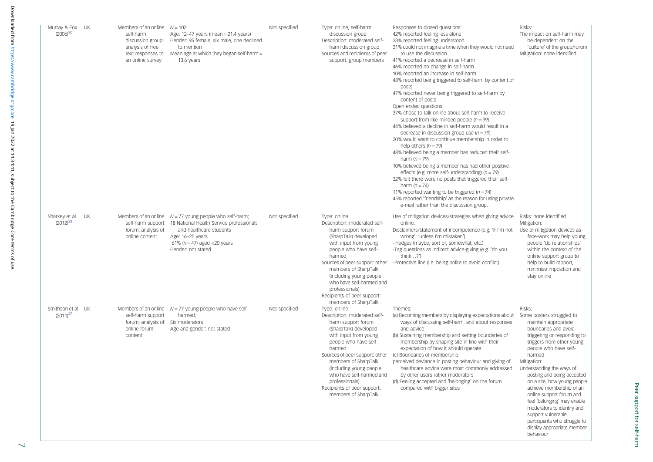| Murray & Fox UK<br>$(2006)^{30}$   |    | Members of an online $N = 102$<br>self-harm<br>discussion group;<br>analysis of free<br>text responses to<br>an online survey | Age: $12-47$ years (mean = $21.4$ years)<br>Gender: 95 female, six male, one declined<br>to mention<br>Mean age at which they began self-harm $=$<br>13.6 years                                                                 | Not specified | Type: online, self-harm<br>discussion group<br>Description: moderated self-<br>harm discussion group<br>Sources and recipients of peer<br>support: group members                                                                                                                                                                                   | Responses to closed questions:<br>42% reported feeling less alone<br>33% reported feeling understood<br>31% could not imagine a time when they would not need<br>to use the discussion<br>41% reported a decrease in self-harm<br>46% reported no change in self-harm<br>10% reported an increase in self-harm<br>48% reported being triggered to self-harm by content of<br>posts<br>47% reported never being triggered to self-harm by<br>content of posts<br>Open ended questions:<br>37% chose to talk online about self-harm to receive<br>support from like-minded people $(n = 99)$<br>44% believed a decline in self-harm would result in a<br>decrease in discussion group use $(n = 79)$<br>20% would want to continue membership in order to<br>help others $(n = 79)$<br>48% believed being a member has reduced their self-<br>harm $(n = 79)$<br>10% believed being a member has had other positive<br>effects (e.g. more self-understanding) ( $n = 79$ )<br>32% felt there were no posts that triggered their self-<br>harm $(n = 74)$<br>11% reported wanting to be triggered ( $n = 74$ )<br>45% reported 'friendship' as the reason for using private<br>e-mail rather than the discussion group. | Risks:<br>The impact on self-harm may<br>be dependent on the<br>'culture' of the group/forum<br>Mitigation: none identified                                                                                                                                                                                                                                                                                                                                                                                       |
|------------------------------------|----|-------------------------------------------------------------------------------------------------------------------------------|---------------------------------------------------------------------------------------------------------------------------------------------------------------------------------------------------------------------------------|---------------|----------------------------------------------------------------------------------------------------------------------------------------------------------------------------------------------------------------------------------------------------------------------------------------------------------------------------------------------------|----------------------------------------------------------------------------------------------------------------------------------------------------------------------------------------------------------------------------------------------------------------------------------------------------------------------------------------------------------------------------------------------------------------------------------------------------------------------------------------------------------------------------------------------------------------------------------------------------------------------------------------------------------------------------------------------------------------------------------------------------------------------------------------------------------------------------------------------------------------------------------------------------------------------------------------------------------------------------------------------------------------------------------------------------------------------------------------------------------------------------------------------------------------------------------------------------------------------|-------------------------------------------------------------------------------------------------------------------------------------------------------------------------------------------------------------------------------------------------------------------------------------------------------------------------------------------------------------------------------------------------------------------------------------------------------------------------------------------------------------------|
| Sharkey et al<br>$(2012)^{28}$     | UK | forum; analysis of<br>online content                                                                                          | Members of an online $N = 77$ young people who self-harm;<br>self-harm support 18 National Health Service professionals<br>and healthcare students<br>Age: 16-25 years<br>61% ( $n = 47$ ) aged <20 years<br>Gender: not stated | Not specified | Type: online<br>Description: moderated self-<br>harm support forum<br>(SharpTalk) developed<br>with input from young<br>people who have self-<br>harmed<br>Sources of peer support: other<br>members of SharpTalk<br>(including young people)<br>who have self-harmed and<br>professionals)<br>Recipients of peer support:<br>members of SharpTalk | Use of mitigation devices/strategies when giving advice<br>online:<br>Disclaimers/statement of incompetence (e.g. 'if I'm not<br>wrong'; 'unless I'm mistaken')<br>-Hedges (maybe, sort of, somewhat, etc.)<br>-Tag questions as indirect advice-giving (e.g. 'do you<br>think?')<br>-Protective line (i.e. being polite to avoid conflict)                                                                                                                                                                                                                                                                                                                                                                                                                                                                                                                                                                                                                                                                                                                                                                                                                                                                          | Risks: none identified<br>Mitigation:<br>Use of mitigation devices as<br>face-work may help young<br>people 'do relationships'<br>within the context of the<br>online support group to<br>help to build rapport,<br>minimise imposition and<br>stay online                                                                                                                                                                                                                                                        |
| Smithson et al UK<br>$(2011)^{27}$ |    | Members of an online<br>self-harm support<br>forum; analysis of<br>online forum<br>content                                    | $N = 77$ young people who have self-<br>harmed;<br>Six moderators<br>Age and gender: not stated                                                                                                                                 | Not specified | Type: online<br>Description: moderated self-<br>harm support forum<br>(SharpTalk) developed<br>with input from young<br>people who have self-<br>harmed<br>Sources of peer support: other<br>members of SharpTalk<br>(including young people<br>who have self-harmed and<br>professionals)<br>Recipients of peer support:<br>members of SharpTalk  | Themes:<br>(a) Becoming members by displaying expectations about<br>ways of discussing self-harm, and about responses<br>and advice<br>(b) Sustaining membership and setting boundaries of<br>membership by shaping site in line with their<br>expectation of how it should operate<br>(c) Boundaries of membership:<br>perceived deviance in posting behaviour and giving of<br>healthcare advice were most commonly addressed<br>by other users rather moderators<br>(d) Feeling accepted and 'belonging' on the forum<br>compared with bigger sites                                                                                                                                                                                                                                                                                                                                                                                                                                                                                                                                                                                                                                                               | Risks:<br>Some posters struggled to<br>maintain appropriate<br>boundaries and avoid<br>triggering or responding to<br>triggers from other young<br>people who have self-<br>harmed<br>Mitigation:<br>Understanding the ways of<br>posting and being accepted<br>on a site, how young people<br>achieve membership of an<br>online support forum and<br>feel 'belonging' may enable<br>moderators to identify and<br>support vulnerable<br>participants who struggle to<br>display appropriate member<br>behaviour |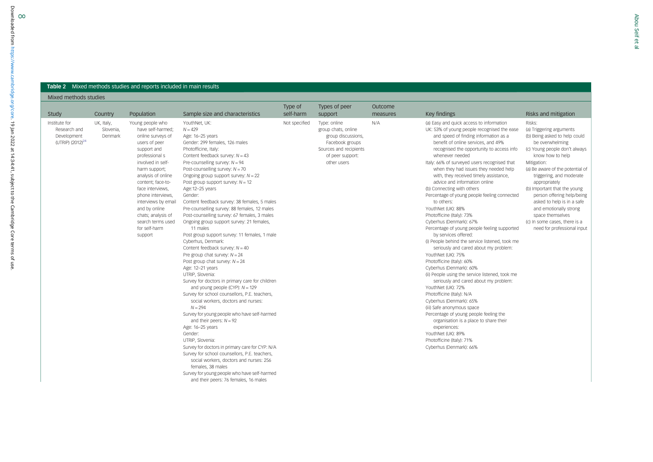#### <span id="page-7-0"></span>**Table 2** Mixed methods studies and reports included in main results

Mixed methods studies

|                                                                              |                                    |                                                                                                                                                                                                                                                                                                                                                       |                                                                                                                                                                                                                                                                                                                                                                                                                                                                                                                                                                                                                                                                                                                                                                                                                                                                                                                                                                                                                                                                                                                                                                                                                                                                                                                                                                     | Type of       | Types of peer                                                                                                                             | Outcome  |                                                                                                                                                                                                                                                                                                                                                                                                                                                                                                                                                                                                                                                                                                                                                                                                                                                                                                                                                                                                                                                                                                                                                                                                                                   |                                                                                                                                                                                                                                                                                                                                                                                                                                                       |
|------------------------------------------------------------------------------|------------------------------------|-------------------------------------------------------------------------------------------------------------------------------------------------------------------------------------------------------------------------------------------------------------------------------------------------------------------------------------------------------|---------------------------------------------------------------------------------------------------------------------------------------------------------------------------------------------------------------------------------------------------------------------------------------------------------------------------------------------------------------------------------------------------------------------------------------------------------------------------------------------------------------------------------------------------------------------------------------------------------------------------------------------------------------------------------------------------------------------------------------------------------------------------------------------------------------------------------------------------------------------------------------------------------------------------------------------------------------------------------------------------------------------------------------------------------------------------------------------------------------------------------------------------------------------------------------------------------------------------------------------------------------------------------------------------------------------------------------------------------------------|---------------|-------------------------------------------------------------------------------------------------------------------------------------------|----------|-----------------------------------------------------------------------------------------------------------------------------------------------------------------------------------------------------------------------------------------------------------------------------------------------------------------------------------------------------------------------------------------------------------------------------------------------------------------------------------------------------------------------------------------------------------------------------------------------------------------------------------------------------------------------------------------------------------------------------------------------------------------------------------------------------------------------------------------------------------------------------------------------------------------------------------------------------------------------------------------------------------------------------------------------------------------------------------------------------------------------------------------------------------------------------------------------------------------------------------|-------------------------------------------------------------------------------------------------------------------------------------------------------------------------------------------------------------------------------------------------------------------------------------------------------------------------------------------------------------------------------------------------------------------------------------------------------|
| Study                                                                        | Country                            | Population                                                                                                                                                                                                                                                                                                                                            | Sample size and characteristics                                                                                                                                                                                                                                                                                                                                                                                                                                                                                                                                                                                                                                                                                                                                                                                                                                                                                                                                                                                                                                                                                                                                                                                                                                                                                                                                     | self-harm     | support                                                                                                                                   | measures | Key findings                                                                                                                                                                                                                                                                                                                                                                                                                                                                                                                                                                                                                                                                                                                                                                                                                                                                                                                                                                                                                                                                                                                                                                                                                      | Risks and mitigation                                                                                                                                                                                                                                                                                                                                                                                                                                  |
| Institute for<br>Research and<br>Development<br>(UTRIP) (2012) <sup>24</sup> | UK, Italy,<br>Slovenia,<br>Denmark | Young people who<br>have self-harmed;<br>online surveys of<br>users of peer<br>support and<br>professional s<br>involved in self-<br>harm support;<br>analysis of online<br>content; face-to-<br>face interviews.<br>phone interviews.<br>interviews by email<br>and by online<br>chats; analysis of<br>search terms used<br>for self-harm<br>support | YouthNet, UK:<br>$N = 429$<br>Age: 16-25 years<br>Gender: 299 females, 126 males<br>Photofficine, Italy:<br>Content feedback survey: $N = 43$<br>Pre-counselling survey: $N = 94$<br>Post-counselling survey: $N = 70$<br>Ongoing group support survey: $N = 22$<br>Post group support survey: $N = 12$<br>Age:12-25 years<br>Gender:<br>Content feedback survey: 38 females, 5 males<br>Pre-counselling survey: 88 females, 12 males<br>Post-counselling survey: 67 females, 3 males<br>Ongoing group support survey: 21 females,<br>11 males<br>Post group support survey: 11 females, 1 male<br>Cyberhus, Denmark:<br>Content feedback survey: $N = 40$<br>Pre group chat survey: $N = 24$<br>Post group chat survey: $N = 24$<br>Age: 12-21 years<br>UTRIP, Slovenia:<br>Survey for doctors in primary care for children<br>and young people (CYP): $N = 129$<br>Survey for school counsellors, P.E. teachers,<br>social workers, doctors and nurses:<br>$N = 294$<br>Survey for young people who have self-harmed<br>and their peers: $N = 92$<br>Age: 16-25 years<br>Gender:<br>UTRIP, Slovenia:<br>Survey for doctors in primary care for CYP: N/A<br>Survey for school counsellors, P.E. teachers,<br>social workers, doctors and nurses: 256<br>females, 38 males<br>Survey for young people who have self-harmed<br>and their peers: 76 females, 16 males | Not specified | Type: online<br>group chats, online<br>group discussions,<br>Facebook groups<br>Sources and recipients<br>of peer support:<br>other users | N/A      | (a) Easy and quick access to information<br>UK: 53% of young people recognised the ease<br>and speed of finding information as a<br>benefit of online services, and 49%<br>recognised the opportunity to access info<br>whenever needed<br>Italy: 66% of surveyed users recognised that<br>when they had issues they needed help<br>with, they received timely assistance,<br>advice and information online<br>(b) Connecting with others<br>Percentage of young people feeling connected<br>to others:<br>YouthNet (UK): 88%<br>Photofficine (Italy): 73%<br>Cyberhus (Denmark): 67%<br>Percentage of young people feeling supported<br>by services offered:<br>(i) People behind the service listened, took me<br>seriously and cared about my problem:<br>YouthNet (UK): 75%<br>Photofficine (Italy): 60%<br>Cyberhus (Denmark): 60%<br>(ii) People using the service listened, took me<br>seriously and cared about my problem:<br>YouthNet (UK): 72%<br>Photofficine (Italy): N/A<br>Cyberhus (Denmark): 65%<br>(iii) Safe anonymous space<br>Percentage of young people feeling the<br>organisation is a place to share their<br>experiences:<br>YouthNet (UK): 89%<br>Photofficine (Italy): 71%<br>Cyberhus (Denmark): 66% | Risks:<br>(a) Triggering arguments<br>(b) Being asked to help could<br>be overwhelming<br>(c) Young people don't always<br>know how to help<br>Mitigation:<br>(a) Be aware of the potential of<br>triggering, and moderate<br>appropriately<br>(b) Important that the young<br>person offering help/being<br>asked to help is in a safe<br>and emotionally strong<br>space themselves<br>(c) In some cases, there is a<br>need for professional input |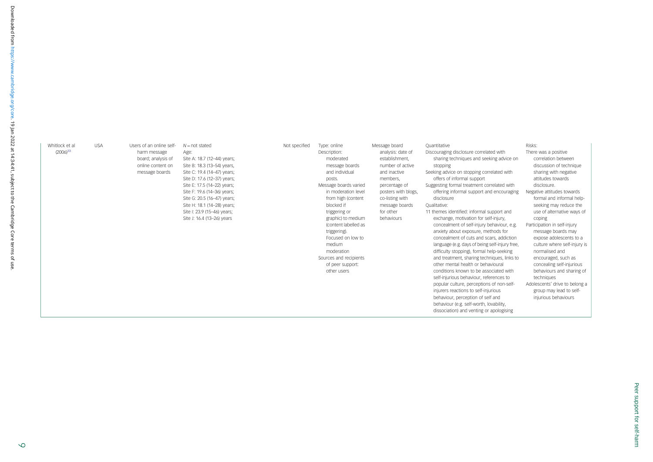| Whitlock et al<br>$(2006)^{33}$ | <b>USA</b> | Users of an online self-<br>harm message<br>board; analysis of<br>online content on<br>message boards | $N = not stated$<br>Age:<br>Site A: 18.7 (12-44) years;<br>Site B: 18.3 (13-54) years,<br>Site C: 19.4 (14-47) years;<br>Site D: 17.6 (12-37) years;<br>Site E: 17.5 (14-22) years;<br>Site F: 19.6 (14-36) years;<br>Site G: 20.5 (16-47) years;<br>Site H: 18.1 (14-28) years;<br>Site I: 23.9 (15-46) years;<br>Site J: 16.4 (13-26) years | Not specified | Type: online<br>Description:<br>moderated<br>message boards<br>and individual<br>posts.<br>Message boards varied<br>in moderation level<br>from high (content<br>blocked if<br>triggering or<br>graphic) to medium<br>(content labelled as<br>triggering).<br>Focused on low to<br>medium<br>moderation<br>Sources and recipients<br>of peer support:<br>other users | Message board<br>analysis: date of<br>establishment.<br>number of active<br>and inactive<br>members.<br>percentage of<br>posters with blogs,<br>co-listing with<br>message boards<br>for other<br>behaviours | Ouantitative<br>Discouraging disclosure correlated with<br>sharing techniques and seeking advice on<br>stopping<br>Seeking advice on stopping correlated with<br>offers of informal support<br>Suggesting formal treatment correlated with<br>offering informal support and encouraging<br>disclosure<br>Qualitative:<br>11 themes identified: informal support and<br>exchange, motivation for self-injury,<br>concealment of self-injury behaviour, e.g.<br>anxiety about exposure, methods for<br>concealment of cuts and scars, addiction<br>language (e.g. days of being self-injury free,<br>difficulty stopping), formal help-seeking<br>and treatment, sharing techniques, links to<br>other mental health or behavioural<br>conditions known to be associated with<br>self-injurious behaviour, references to<br>popular culture, perceptions of non-self-<br>injurers reactions to self-injurious<br>behaviour, perception of self and<br>behaviour (e.g. self-worth, lovability,<br>dissociation) and venting or apologising | Risks:<br>There was a positive<br>correlation between<br>discussion of technique<br>sharing with negative<br>attitudes towards<br>disclosure.<br>Negative attitudes towards<br>formal and informal help-<br>seeking may reduce the<br>use of alternative ways of<br>coping<br>Participation in self-injury<br>message boards may<br>expose adolescents to a<br>culture where self-injury is<br>normalised and<br>encouraged, such as<br>concealing self-injurious<br>behaviours and sharing of<br>techniques<br>Adolescents' drive to belong a<br>group may lead to self-<br>injurious behaviours |
|---------------------------------|------------|-------------------------------------------------------------------------------------------------------|-----------------------------------------------------------------------------------------------------------------------------------------------------------------------------------------------------------------------------------------------------------------------------------------------------------------------------------------------|---------------|----------------------------------------------------------------------------------------------------------------------------------------------------------------------------------------------------------------------------------------------------------------------------------------------------------------------------------------------------------------------|--------------------------------------------------------------------------------------------------------------------------------------------------------------------------------------------------------------|-----------------------------------------------------------------------------------------------------------------------------------------------------------------------------------------------------------------------------------------------------------------------------------------------------------------------------------------------------------------------------------------------------------------------------------------------------------------------------------------------------------------------------------------------------------------------------------------------------------------------------------------------------------------------------------------------------------------------------------------------------------------------------------------------------------------------------------------------------------------------------------------------------------------------------------------------------------------------------------------------------------------------------------------|---------------------------------------------------------------------------------------------------------------------------------------------------------------------------------------------------------------------------------------------------------------------------------------------------------------------------------------------------------------------------------------------------------------------------------------------------------------------------------------------------------------------------------------------------------------------------------------------------|
|---------------------------------|------------|-------------------------------------------------------------------------------------------------------|-----------------------------------------------------------------------------------------------------------------------------------------------------------------------------------------------------------------------------------------------------------------------------------------------------------------------------------------------|---------------|----------------------------------------------------------------------------------------------------------------------------------------------------------------------------------------------------------------------------------------------------------------------------------------------------------------------------------------------------------------------|--------------------------------------------------------------------------------------------------------------------------------------------------------------------------------------------------------------|-----------------------------------------------------------------------------------------------------------------------------------------------------------------------------------------------------------------------------------------------------------------------------------------------------------------------------------------------------------------------------------------------------------------------------------------------------------------------------------------------------------------------------------------------------------------------------------------------------------------------------------------------------------------------------------------------------------------------------------------------------------------------------------------------------------------------------------------------------------------------------------------------------------------------------------------------------------------------------------------------------------------------------------------|---------------------------------------------------------------------------------------------------------------------------------------------------------------------------------------------------------------------------------------------------------------------------------------------------------------------------------------------------------------------------------------------------------------------------------------------------------------------------------------------------------------------------------------------------------------------------------------------------|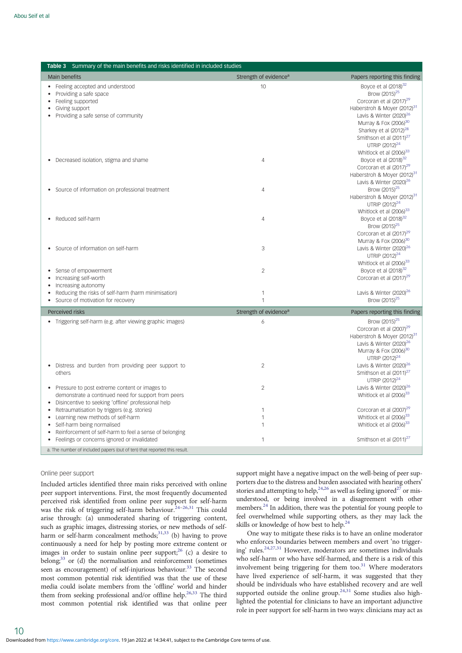<span id="page-9-0"></span>

| <b>Table 3</b> Summary of the main benefits and risks identified in included studies                                                                                       |                                   |                                                                                                                                                                                                                                                                                                                                        |
|----------------------------------------------------------------------------------------------------------------------------------------------------------------------------|-----------------------------------|----------------------------------------------------------------------------------------------------------------------------------------------------------------------------------------------------------------------------------------------------------------------------------------------------------------------------------------|
| <b>Main benefits</b>                                                                                                                                                       | Strength of evidence <sup>a</sup> | Papers reporting this finding                                                                                                                                                                                                                                                                                                          |
| Feeling accepted and understood<br>• Providing a safe space<br>Feeling supported<br>$\bullet$<br>Giving support<br>Providing a safe sense of community                     | 10                                | Boyce et al (2018) <sup>32</sup><br>Brow (2015) <sup>25</sup><br>Corcoran et al (2017) <sup>29</sup><br>Haberstroh & Moyer (2012) <sup>31</sup><br>Lavis & Winter (2020) <sup>26</sup><br>Murray & Fox (2006) <sup>30</sup><br>Sharkey et al (2012) <sup>28</sup><br>Smithson et al (2011) <sup>27</sup><br>UTRIP (2012) <sup>24</sup> |
| Decreased isolation, stigma and shame                                                                                                                                      | $\overline{4}$                    | Whitlock et al (2006) <sup>33</sup><br>Boyce et al (2018) <sup>32</sup><br>Corcoran et al (2017) <sup>29</sup><br>Haberstroh & Moyer (2012) <sup>31</sup><br>Lavis & Winter (2020) <sup>26</sup>                                                                                                                                       |
| • Source of information on professional treatment                                                                                                                          | 4                                 | Brow (2015) <sup>25</sup><br>Haberstroh & Moyer (2012) <sup>31</sup><br>UTRIP (2012) <sup>24</sup><br>Whitlock et al (2006) <sup>33</sup>                                                                                                                                                                                              |
| Reduced self-harm                                                                                                                                                          | $\overline{4}$                    | Boyce et al (2018) <sup>32</sup><br>Brow (2015) <sup>25</sup><br>Corcoran et al (2017) <sup>29</sup><br>Murray & Fox (2006) <sup>30</sup>                                                                                                                                                                                              |
| Source of information on self-harm                                                                                                                                         | 3                                 | Lavis & Winter (2020) <sup>26</sup><br>UTRIP (2012) <sup>24</sup><br>Whitlock et al (2006) <sup>33</sup>                                                                                                                                                                                                                               |
| Sense of empowerment<br>Increasing self-worth<br>Increasing autonomy                                                                                                       | $\mathfrak{D}$                    | Boyce et al (2018) <sup>32</sup><br>Corcoran et al (2017) <sup>29</sup>                                                                                                                                                                                                                                                                |
| Reducing the risks of self-harm (harm minimisation)<br>• Source of motivation for recovery                                                                                 | $\mathbf{1}$<br>$\mathbf{1}$      | Lavis & Winter (2020) <sup>26</sup><br>Brow (2015) <sup>25</sup>                                                                                                                                                                                                                                                                       |
| Perceived risks                                                                                                                                                            | Strength of evidence <sup>a</sup> | Papers reporting this finding                                                                                                                                                                                                                                                                                                          |
| • Triggering self-harm (e.g. after viewing graphic images)<br>Distress and burden from providing peer support to<br>others                                                 | 6<br>$\overline{2}$               | Brow (2015) <sup>25</sup><br>Corcoran et al (2007) <sup>29</sup><br>Haberstroh & Moyer (2012) <sup>31</sup><br>Lavis & Winter (2020) <sup>26</sup><br>Murray & Fox (2006) <sup>30</sup><br>UTRIP (2012) <sup>24</sup><br>Lavis & Winter (2020) <sup>26</sup><br>Smithson et al (2011) <sup>27</sup>                                    |
| • Pressure to post extreme content or images to<br>demonstrate a continued need for support from peers<br>Disincentive to seeking 'offline' professional help<br>$\bullet$ | $\overline{2}$                    | UTRIP (2012) <sup>24</sup><br>Lavis & Winter (2020) <sup>26</sup><br>Whitlock et al (2006) <sup>33</sup>                                                                                                                                                                                                                               |
| Retraumatisation by triggers (e.g. stories)<br>$\bullet$<br>Learning new methods of self-harm                                                                              | $\mathbf{1}$<br>1                 | Corcoran et al (2007) <sup>29</sup><br>Whitlock et al (2006) <sup>33</sup>                                                                                                                                                                                                                                                             |
| Self-harm being normalised<br>Reinforcement of self-harm to feel a sense of belonging<br>$\bullet$                                                                         | $\mathbf{1}$                      | Whitlock et al (2006) <sup>33</sup>                                                                                                                                                                                                                                                                                                    |
| Feelings or concerns ignored or invalidated                                                                                                                                | $\mathbf{1}$                      | Smithson et al (2011) <sup>27</sup>                                                                                                                                                                                                                                                                                                    |
| a. The number of included papers (out of ten) that reported this result.                                                                                                   |                                   |                                                                                                                                                                                                                                                                                                                                        |

#### Online peer support

Included articles identified three main risks perceived with online peer support interventions. First, the most frequently documented perceived risk identified from online peer support for self-harm was the risk of triggering self-harm behaviour.<sup>[24](#page-12-0)-[26](#page-12-0)[,31](#page-13-0)</sup> This could arise through: (a) unmoderated sharing of triggering content, such as graphic images, distressing stories, or new methods of selfharm or self-harm concealment methods;<sup>31,33</sup> (b) having to prove continuously a need for help by posting more extreme content or images in order to sustain online peer support;  $^{26}$  (c) a desire to belong;<sup>[33](#page-13-0)</sup> or (d) the normalisation and reinforcement (sometimes seen as encouragement) of self-injurious behaviour.<sup>[33](#page-13-0)</sup> The second most common potential risk identified was that the use of these media could isolate members from the 'offline' world and hinder them from seeking professional and/or offline help.<sup>26,[33](#page-13-0)</sup> The third most common potential risk identified was that online peer

support might have a negative impact on the well-being of peer supporters due to the distress and burden associated with hearing others' stories and attempting to help,<sup>[24](#page-12-0),[26](#page-12-0)</sup> as well as feeling ignored<sup>27</sup> or misunderstood, or being involved in a disagreement with other members[.24](#page-12-0) In addition, there was the potential for young people to feel overwhelmed while supporting others, as they may lack the skills or knowledge of how best to help.<sup>[24](#page-12-0)</sup>

One way to mitigate these risks is to have an online moderator who enforces boundaries between members and overt 'no trigger-ing' rules.<sup>[24,27](#page-12-0)[,31](#page-13-0)</sup> However, moderators are sometimes individuals who self-harm or who have self-harmed, and there is a risk of this involvement being triggering for them too. $31$  Where moderators have lived experience of self-harm, it was suggested that they should be individuals who have established recovery and are well supported outside the online group.<sup>[24,](#page-12-0)[31](#page-13-0)</sup> Some studies also highlighted the potential for clinicians to have an important adjunctive role in peer support for self-harm in two ways: clinicians may act as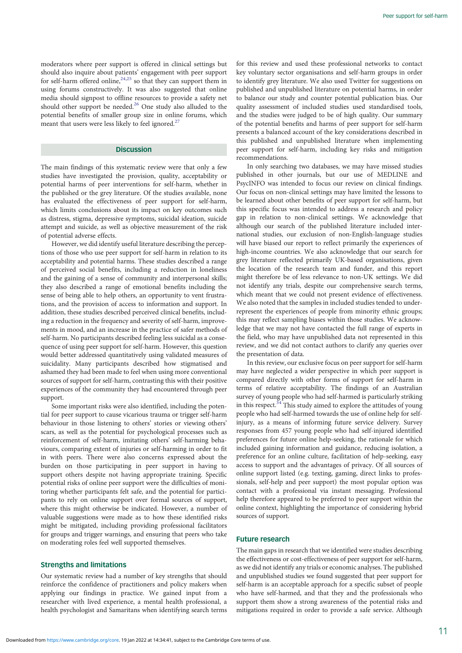moderators where peer support is offered in clinical settings but should also inquire about patients' engagement with peer support for self-harm offered online,  $24,25$  so that they can support them in using forums constructively. It was also suggested that online media should signpost to offline resources to provide a safety net should other support be needed.<sup>[26](#page-12-0)</sup> One study also alluded to the potential benefits of smaller group size in online forums, which meant that users were less likely to feel ignored.<sup>27</sup>

## **Discussion**

The main findings of this systematic review were that only a few studies have investigated the provision, quality, acceptability or potential harms of peer interventions for self-harm, whether in the published or the grey literature. Of the studies available, none has evaluated the effectiveness of peer support for self-harm, which limits conclusions about its impact on key outcomes such as distress, stigma, depressive symptoms, suicidal ideation, suicide attempt and suicide, as well as objective measurement of the risk of potential adverse effects.

However, we did identify useful literature describing the perceptions of those who use peer support for self-harm in relation to its acceptability and potential harms. These studies described a range of perceived social benefits, including a reduction in loneliness and the gaining of a sense of community and interpersonal skills; they also described a range of emotional benefits including the sense of being able to help others, an opportunity to vent frustrations, and the provision of access to information and support. In addition, these studies described perceived clinical benefits, including a reduction in the frequency and severity of self-harm, improvements in mood, and an increase in the practice of safer methods of self-harm. No participants described feeling less suicidal as a consequence of using peer support for self-harm. However, this question would better addressed quantitatively using validated measures of suicidality. Many participants described how stigmatised and ashamed they had been made to feel when using more conventional sources of support for self-harm, contrasting this with their positive experiences of the community they had encountered through peer support.

Some important risks were also identified, including the potential for peer support to cause vicarious trauma or trigger self-harm behaviour in those listening to others' stories or viewing others' scars, as well as the potential for psychological processes such as reinforcement of self-harm, imitating others' self-harming behaviours, comparing extent of injuries or self-harming in order to fit in with peers. There were also concerns expressed about the burden on those participating in peer support in having to support others despite not having appropriate training. Specific potential risks of online peer support were the difficulties of monitoring whether participants felt safe, and the potential for participants to rely on online support over formal sources of support, where this might otherwise be indicated. However, a number of valuable suggestions were made as to how these identified risks might be mitigated, including providing professional facilitators for groups and trigger warnings, and ensuring that peers who take on moderating roles feel well supported themselves.

## Strengths and limitations

Our systematic review had a number of key strengths that should reinforce the confidence of practitioners and policy makers when applying our findings in practice. We gained input from a researcher with lived experience, a mental health professional, a health psychologist and Samaritans when identifying search terms for this review and used these professional networks to contact key voluntary sector organisations and self-harm groups in order to identify grey literature. We also used Twitter for suggestions on published and unpublished literature on potential harms, in order to balance our study and counter potential publication bias. Our quality assessment of included studies used standardised tools, and the studies were judged to be of high quality. Our summary of the potential benefits and harms of peer support for self-harm presents a balanced account of the key considerations described in this published and unpublished literature when implementing peer support for self-harm, including key risks and mitigation recommendations.

In only searching two databases, we may have missed studies published in other journals, but our use of MEDLINE and PsycINFO was intended to focus our review on clinical findings. Our focus on non-clinical settings may have limited the lessons to be learned about other benefits of peer support for self-harm, but this specific focus was intended to address a research and policy gap in relation to non-clinical settings. We acknowledge that although our search of the published literature included international studies, our exclusion of non-English-language studies will have biased our report to reflect primarily the experiences of high-income countries. We also acknowledge that our search for grey literature reflected primarily UK-based organisations, given the location of the research team and funder, and this report might therefore be of less relevance to non-UK settings. We did not identify any trials, despite our comprehensive search terms, which meant that we could not present evidence of effectiveness. We also noted that the samples in included studies tended to underrepresent the experiences of people from minority ethnic groups; this may reflect sampling biases within those studies. We acknowledge that we may not have contacted the full range of experts in the field, who may have unpublished data not represented in this review, and we did not contact authors to clarify any queries over the presentation of data.

In this review, our exclusive focus on peer support for self-harm may have neglected a wider perspective in which peer support is compared directly with other forms of support for self-harm in terms of relative acceptability. The findings of an Australian survey of young people who had self-harmed is particularly striking in this respect.<sup>[34](#page-13-0)</sup> This study aimed to explore the attitudes of young people who had self-harmed towards the use of online help for selfinjury, as a means of informing future service delivery. Survey responses from 457 young people who had self-injured identified preferences for future online help-seeking, the rationale for which included gaining information and guidance, reducing isolation, a preference for an online culture, facilitation of help-seeking, easy access to support and the advantages of privacy. Of all sources of online support listed (e.g. texting, gaming, direct links to professionals, self-help and peer support) the most popular option was contact with a professional via instant messaging. Professional help therefore appeared to be preferred to peer support within the online context, highlighting the importance of considering hybrid sources of support.

## Future research

The main gaps in research that we identified were studies describing the effectiveness or cost-effectiveness of peer support for self-harm, as we did not identify any trials or economic analyses. The published and unpublished studies we found suggested that peer support for self-harm is an acceptable approach for a specific subset of people who have self-harmed, and that they and the professionals who support them show a strong awareness of the potential risks and mitigations required in order to provide a safe service. Although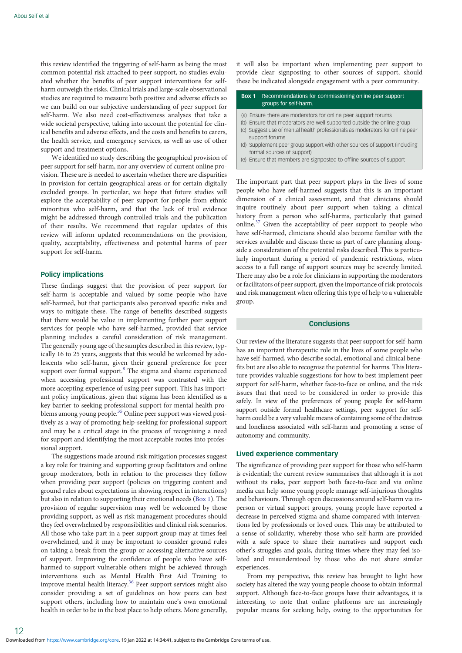this review identified the triggering of self-harm as being the most common potential risk attached to peer support, no studies evaluated whether the benefits of peer support interventions for selfharm outweigh the risks. Clinical trials and large-scale observational studies are required to measure both positive and adverse effects so we can build on our subjective understanding of peer support for self-harm. We also need cost-effectiveness analyses that take a wide societal perspective, taking into account the potential for clinical benefits and adverse effects, and the costs and benefits to carers, the health service, and emergency services, as well as use of other support and treatment options.

We identified no study describing the geographical provision of peer support for self-harm, nor any overview of current online provision. These are is needed to ascertain whether there are disparities in provision for certain geographical areas or for certain digitally excluded groups. In particular, we hope that future studies will explore the acceptability of peer support for people from ethnic minorities who self-harm, and that the lack of trial evidence might be addressed through controlled trials and the publication of their results. We recommend that regular updates of this review will inform updated recommendations on the provision, quality, acceptability, effectiveness and potential harms of peer support for self-harm.

## Policy implications

These findings suggest that the provision of peer support for self-harm is acceptable and valued by some people who have self-harmed, but that participants also perceived specific risks and ways to mitigate these. The range of benefits described suggests that there would be value in implementing further peer support services for people who have self-harmed, provided that service planning includes a careful consideration of risk management. The generally young age of the samples described in this review, typically 16 to 25 years, suggests that this would be welcomed by adolescents who self-harm, given their general preference for peer support over formal support.<sup>8</sup> The stigma and shame experienced when accessing professional support was contrasted with the more accepting experience of using peer support. This has important policy implications, given that stigma has been identified as a key barrier to seeking professional support for mental health problems among young people.[35](#page-13-0) Online peer support was viewed positively as a way of promoting help-seeking for professional support and may be a critical stage in the process of recognising a need for support and identifying the most acceptable routes into professional support.

The suggestions made around risk mitigation processes suggest a key role for training and supporting group facilitators and online group moderators, both in relation to the processes they follow when providing peer support (policies on triggering content and ground rules about expectations in showing respect in interactions) but also in relation to supporting their emotional needs (Box 1). The provision of regular supervision may well be welcomed by those providing support, as well as risk management procedures should they feel overwhelmed by responsibilities and clinical risk scenarios. All those who take part in a peer support group may at times feel overwhelmed, and it may be important to consider ground rules on taking a break from the group or accessing alternative sources of support. Improving the confidence of people who have selfharmed to support vulnerable others might be achieved through interventions such as Mental Health First Aid Training to improve mental health literacy.[36](#page-13-0) Peer support services might also consider providing a set of guidelines on how peers can best support others, including how to maintain one's own emotional health in order to be in the best place to help others. More generally, it will also be important when implementing peer support to provide clear signposting to other sources of support, should these be indicated alongside engagement with a peer community.

#### Box 1 Recommendations for commissioning online peer support groups for self-harm.

- (a) Ensure there are moderators for online peer support forums
- (b) Ensure that moderators are well supported outside the online group (c) Suggest use of mental health professionals as moderators for online peer
- support forums (d) Supplement peer group support with other sources of support (including
- formal sources of support)
- (e) Ensure that members are signposted to offline sources of support

The important part that peer support plays in the lives of some people who have self-harmed suggests that this is an important dimension of a clinical assessment, and that clinicians should inquire routinely about peer support when taking a clinical history from a person who self-harms, particularly that gained online.[37](#page-13-0) Given the acceptability of peer support to people who have self-harmed, clinicians should also become familiar with the services available and discuss these as part of care planning alongside a consideration of the potential risks described. This is particularly important during a period of pandemic restrictions, when access to a full range of support sources may be severely limited. There may also be a role for clinicians in supporting the moderators or facilitators of peer support, given the importance of risk protocols and risk management when offering this type of help to a vulnerable group.

#### **Conclusions**

Our review of the literature suggests that peer support for self-harm has an important therapeutic role in the lives of some people who have self-harmed, who describe social, emotional and clinical benefits but are also able to recognise the potential for harms. This literature provides valuable suggestions for how to best implement peer support for self-harm, whether face-to-face or online, and the risk issues that that need to be considered in order to provide this safely. In view of the preferences of young people for self-harm support outside formal healthcare settings, peer support for selfharm could be a very valuable means of containing some of the distress and loneliness associated with self-harm and promoting a sense of autonomy and community.

## Lived experience commentary

The significance of providing peer support for those who self-harm is evidential; the current review summarises that although it is not without its risks, peer support both face-to-face and via online media can help some young people manage self-injurious thoughts and behaviours. Through open discussions around self-harm via inperson or virtual support groups, young people have reported a decrease in perceived stigma and shame compared with interventions led by professionals or loved ones. This may be attributed to a sense of solidarity, whereby those who self-harm are provided with a safe space to share their narratives and support each other's struggles and goals, during times where they may feel isolated and misunderstood by those who do not share similar experiences.

From my perspective, this review has brought to light how society has altered the way young people choose to obtain informal support. Although face-to-face groups have their advantages, it is interesting to note that online platforms are an increasingly popular means for seeking help, owing to the opportunities for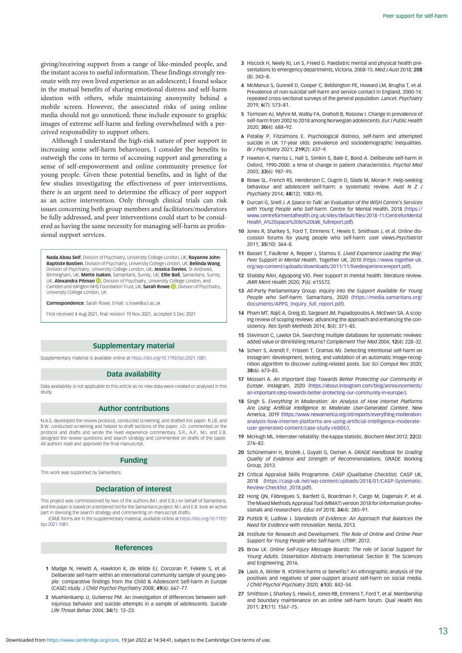<span id="page-12-0"></span>giving/receiving support from a range of like-minded people, and the instant access to useful information. These findings strongly resonate with my own lived experience as an adolescent; I found solace in the mutual benefits of sharing emotional distress and self-harm ideation with others, while maintaining anonymity behind a mobile screen. However, the associated risks of using online media should not go unnoticed; these include exposure to graphic images of extreme self-harm and feeling overwhelmed with a perceived responsibility to support others.

Although I understand the high-risk nature of peer support in increasing some self-harm behaviours, I consider the benefits to outweigh the cons in terms of accessing support and generating a sense of self-empowerment and online community presence for young people. Given these potential benefits, and in light of the few studies investigating the effectiveness of peer interventions, there is an urgent need to determine the efficacy of peer support as an active intervention. Only through clinical trials can risk issues concerning both group members and facilitators/moderators be fully addressed, and peer interventions could start to be considered as having the same necessity for managing self-harm as professional support services.

Nada Abou Seif, Division of Psychiatry, University College London, UK; Rayanne John-Baptiste Bastien, Division of Psychiatry, University College London, UK; Belinda Wang, Division of Psychiatry, University College London, UK; Jessica Davies, St Andrews, Birmingham, UK; Mette Isaken, Samaritans, Surrey, UK; Ellie Ball, Samaritans, Surrey, UK; **Alexandra Pitman D**, Division of Psychiatry, University College London, and Camden and Islington NHS Foundation Trust[,](https://orcid.org/0000-0003-1072-6182) UK; Sarah Rowe (D, Division of Psychiatry University College London, UK

Correspondence: Sarah Rowe. Email: s.rowe@ucl.ac.uk

First received 4 Aug 2021, final revision 19 Nov 2021, accepted 5 Dec 2021

## Supplementary material

Supplementary material is available online at <https://doi.org/10.1192/bjo.2021.1081>.

#### Data availability

Data availability is not applicable to this article as no new data were created or analysed in this study.

#### Author contributions

N.A.S. developed the review protocol, conducted screening, and drafted the paper. R.J.B. and B.W. conducted screening and helped to draft sections of the paper. J.D. commented on the protocol and drafts and wrote the lived experience commentary. S.R., A.P., M.I. and E.B. designed the review questions and search strategy and commented on drafts of the paper. All authors read and approved the final manuscript.

#### Funding

This work was supported by Samaritans.

## Declaration of interest

This project was commissioned by two of the authors (M.I. and E.B.) on behalf of Samaritans, and the paper is based on a tendered bid for the Samaritans project. M.I. and E.B. took an active part in devising the search strategy and commenting on manuscript drafts.

ICMJE forms are in the supplementary material, available online at [https://doi.org/10.1192/](https://doi.org/10.1192/bjo.2021.1081) [bjo.2021.1081.](https://doi.org/10.1192/bjo.2021.1081)

## References

- 1 Madge N, Hewitt A, Hawkton K, de Wilde EJ, Corcoran P, Fekete S, et al. Deliberate self-harm within an international community sample of young people: comparative findings from the Child & Adolescent Self-harm in Europe (CASE) study. J Child Psychol Psychiatry 2008; 49(6): 667–77.
- 2 Muehlenkamp JJ, Gutierrez PM, An investigation of differences between selfinjurious behavior and suicide attempts in a sample of adolescents. Suicide Life Threat Behav 2004; 34(1): 12–23.
- 3 Hiscock H, Neely RJ, Lei S, Freed G. Paediatric mental and physical health presentations to emergency departments, Victoria, 2008-15. Med J Aust 2018; 208 (8): 343–8.
- 4 McManus S, Gunnell D, Cooper C, Bebbington PE, Howard LM, Brugha T, et al. Prevalence of non-suicidal self-harm and service contact in England, 2000-14: repeated cross-sectional surveys of the general population. Lancet. Psychiatry 2019; 6(7): 573–81.
- 5 Tormoen AJ, Myhre M, Walby FA, Grøholt B, Rossow I. Change in prevalence of self-harm from 2002 to 2018 among Norwegian adolescents. Eur J Public Health 2020; 30(4): 688–92.
- 6 Patalay P, Fitzsimons E. Psychological distress, self-harm and attempted suicide in UK 17-year olds: prevalence and sociodemographic inequalities. Br J Psychiatry 2021; 219(2): 437–9.
- 7 Hawton K, Harriss L, Hall S, Simkin S, Bale E, Bond A. Deliberate self-harm in Oxford, 1990-2000: a time of change in patient characteristics. Psychol Med 2003; 33(6): 987–95.
- 8 Rowe SL, French RS, Henderson C, Ougrin D, Slade M, Moran P. Help-seeking behaviour and adolescent self-harm: a systematic review. Aust N Z J Psychiatry 2014; 48(12): 1083–95.
- 9 Durcan G, Snell J. A Space to Talk: an Evaluation of the WISH Centre's Services with Young People who Self-harm. Centre for Mental Health, 2018 [\(https://]((https://www.centreformentalhealth.org.uk/sites/default/files/2018-11/CentreforMentalHealth_A%20space%20to%20talk_fullreport.pdf) [www.centreformentalhealth.org.uk/sites/default/files/2018-11/CentreforMental]((https://www.centreformentalhealth.org.uk/sites/default/files/2018-11/CentreforMentalHealth_A%20space%20to%20talk_fullreport.pdf) [Health\\_A%20space%20to%20talk\\_fullreport.pdf]((https://www.centreformentalhealth.org.uk/sites/default/files/2018-11/CentreforMentalHealth_A%20space%20to%20talk_fullreport.pdf)).
- 10 Jones R, Sharkey S, Ford T, Emmens T, Hewis E, Smithson J, et al. Online discussion forums for young people who self-harm: user views.Psychiatrist 2011; 35(10): 364–8.
- 11 Basset T, Faulkner A, Repper J, Stamou E, Lived Experience Leading the Way: Peer Support in Mental Health. Together UK, 2010 ([https://www.together-uk.](https://www.together-uk.org/wp-content/uploads/downloads/2011/11/livedexperiencereport.pdf) [org/wp-content/uploads/downloads/2011/11/livedexperiencereport.pdf](https://www.together-uk.org/wp-content/uploads/downloads/2011/11/livedexperiencereport.pdf)).
- 12 Shalaby RAH, Agyapong VIO. Peer support in mental health: literature review. JMIR Ment Health 2020; 7(6): e15572.
- 13 All-Party Parliamentary Group. Inquiry into the Support Available for Young People who Self-harm. Samaritans, 2020 ([https://media.samaritans.org/](https://media.samaritans.org/documents/APPG_inquiry_full_report.pdf) [documents/APPG\\_inquiry\\_full\\_report.pdf](https://media.samaritans.org/documents/APPG_inquiry_full_report.pdf)).
- 14 Pham MT, Rajić A, Greig JD, Sargeant JM, Papadopoulos A, McEwen SA. A scoping review of scoping reviews: advancing the approach and enhancing the consistency. Res Synth Methods 2014; 5(4): 371–85.
- 15 Stevinson C, Lawlor DA. Searching multiple databases for systematic reviews: added value or diminishing returns? Complement Ther Med 2004; 12(4): 228–32.
- 16 Scherr S, Arendt F, Frissen T, Oramas MJ. Detecting intentional self-harm on Instagram: development, testing, and validation of an automatic image-recognition algorithm to discover cutting-related posts. Soc Sci Comput Rev 2020; 38(6): 673–85.
- 17 Mosseri A. An Important Step Towards Better Protecting our Community in Europe. Instagram, 2020 [\(https://about.instagram.com/blog/announcements/](https://about.instagram.com/blog/announcements/an-important-step-towards-better-protecting-our-community-in-europe/) [an-important-step-towards-better-protecting-our-community-in-europe/\)](https://about.instagram.com/blog/announcements/an-important-step-towards-better-protecting-our-community-in-europe/).
- 18 Singh S. Everything in Moderation: An Analysis of How Internet Platforms Are Using Artificial Intelligence to Moderate User-Generated Content. New America, 2019 [\(https://www.newamerica.org/oti/reports/everything-moderation](https://www.newamerica.org/oti/reports/everything-moderation-analysis-how-internet-platforms-are-using-artificial-intelligence-moderate-user-generated-content/case-study-reddit/)[analysis-how-internet-platforms-are-using-artificial-intelligence-moderate](https://www.newamerica.org/oti/reports/everything-moderation-analysis-how-internet-platforms-are-using-artificial-intelligence-moderate-user-generated-content/case-study-reddit/)[user-generated-content/case-study-reddit/\)](https://www.newamerica.org/oti/reports/everything-moderation-analysis-how-internet-platforms-are-using-artificial-intelligence-moderate-user-generated-content/case-study-reddit/).
- 19 McHugh ML. Interrater reliability: the kappa statistic. Biochem Med 2012; 22(3): 276–82.
- 20 Schünemann H, Brożek J, Guyatt G, Oxman A. GRADE Handbook for Grading Quality of Evidence and Strength of Recommendations. GRADE Working Group, 2013.
- 21 Critical Appraisal Skills Programme. CASP (Qualitative Checklist). CASP UK, 2018 ([https://casp-uk.net/wp-content/uploads/2018/01/CASP-Systematic-](https://casp-uk.net/wp-content/uploads/2018/01/CASP-Systematic-Review-Checklist_2018.pdf)[Review-Checklist\\_2018.pdf](https://casp-uk.net/wp-content/uploads/2018/01/CASP-Systematic-Review-Checklist_2018.pdf)).
- 22 Hong QN, Fàbregues S, Bartlett G, Boardman F, Cargo M, Dagenais P, et al. The Mixed Methods Appraisal Tool (MMAT) version 2018 for information professionals and researchers. Educ Inf 2018; 34(4): 285–91.
- 23 Puttick R, Ludlow J. Standards of Evidence: An Approach that Balances the Need for Evidence with Innovation. Nesta, 2013.
- 24 Institute for Research and Development. The Role of Online and Online Peer Support for Young People who Self-harm. UTRIP, 2012.
- 25 Brow LK. Online Self-injury Message Boards: The role of Social Support for Young Adults. Dissertation Abstracts International: Section B: The Sciences and Engineering, 2016.
- 26 Lavis A, Winter R. #Online harms or benefits? An ethnographic analysis of the positives and negatives of peer-support around self-harm on social media. J Child Psychol Psychiatry 2020; 61(8): 842–54.
- 27 Smithson J, Sharkey S, Hewis E, Jones RB, Emmens T, Ford T, et al. Membership and boundary maintenance on an online self-harm forum. Qual Health Res 2011; 21(11): 1567–75.